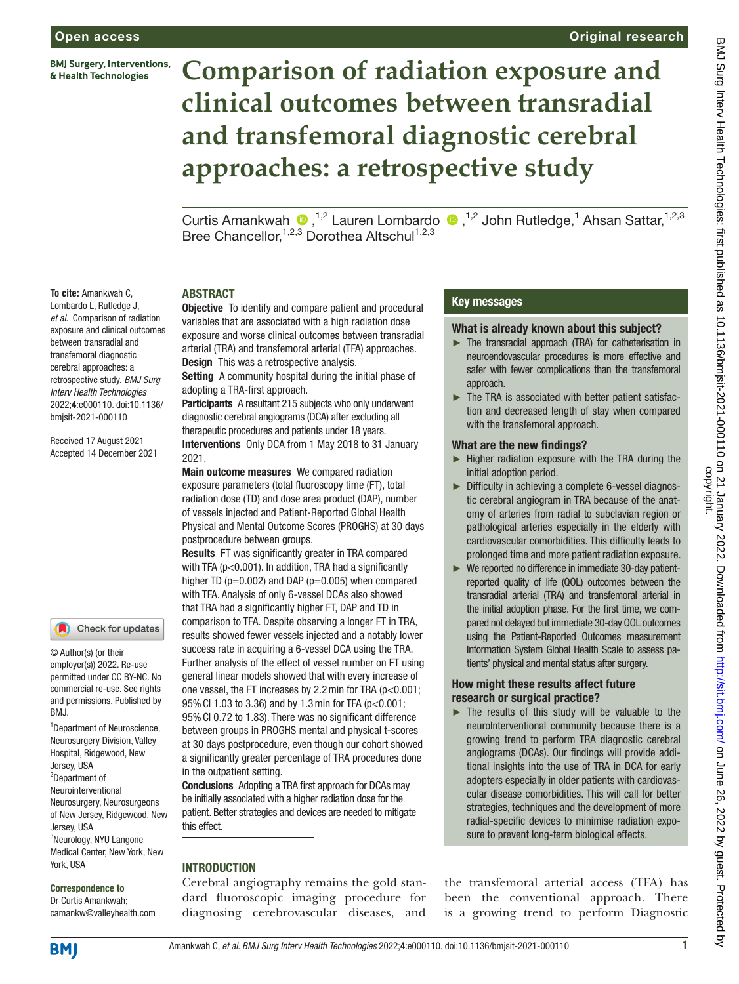**BMJ Surgery, Interventions,** & Health Technologies

# **Comparison of radiation exposure and clinical outcomes between transradial and transfemoral diagnostic cerebral approaches: a retrospective study**

Curtis Amankwah <sup>®</sup>,<sup>1,2</sup> Lauren Lombardo <sup>®</sup>,<sup>1,2</sup> John Rutledge,<sup>1</sup> Ahsan Sattar,<sup>1,2,3</sup> Bree Chancellor,<sup>1,2,3</sup> Dorothea Altschul<sup>1,2,3</sup>

#### **To cite:** Amankwah C,

Lombardo L, Rutledge J, *et al*. Comparison of radiation exposure and clinical outcomes between transradial and transfemoral diagnostic cerebral approaches: a retrospective study. *BMJ Surg Interv Health Technologies* 2022;4:e000110. doi:10.1136/ bmjsit-2021-000110

Received 17 August 2021 Accepted 14 December 2021

#### Check for updates

© Author(s) (or their employer(s)) 2022. Re-use permitted under CC BY-NC. No commercial re-use. See rights and permissions. Published by BMJ.

1 Department of Neuroscience, Neurosurgery Division, Valley Hospital, Ridgewood, New Jersey, USA 2 Department of Neurointerventional Neurosurgery, Neurosurgeons of New Jersey, Ridgewood, New Jersey, USA <sup>3</sup>Neurology, NYU Langone Medical Center, New York, New York, USA

#### Correspondence to

Dr Curtis Amankwah; camankw@valleyhealth.com

## ABSTRACT

**Objective** To identify and compare patient and procedural variables that are associated with a high radiation dose exposure and worse clinical outcomes between transradial arterial (TRA) and transfemoral arterial (TFA) approaches. **Design** This was a retrospective analysis.

Setting A community hospital during the initial phase of adopting a TRA-first approach.

Participants A resultant 215 subjects who only underwent diagnostic cerebral angiograms (DCA) after excluding all therapeutic procedures and patients under 18 years. Interventions Only DCA from 1 May 2018 to 31 January 2021.

Main outcome measures We compared radiation exposure parameters (total fluoroscopy time (FT), total radiation dose (TD) and dose area product (DAP), number of vessels injected and Patient-Reported Global Health Physical and Mental Outcome Scores (PROGHS) at 30 days postprocedure between groups.

Results FT was significantly greater in TRA compared with TFA (p<0.001). In addition, TRA had a significantly higher TD ( $p=0.002$ ) and DAP ( $p=0.005$ ) when compared with TFA. Analysis of only 6-vessel DCAs also showed that TRA had a significantly higher FT, DAP and TD in comparison to TFA. Despite observing a longer FT in TRA, results showed fewer vessels injected and a notably lower success rate in acquiring a 6-vessel DCA using the TRA. Further analysis of the effect of vessel number on FT using general linear models showed that with every increase of one vessel, the FT increases by 2.2min for TRA (p<0.001; 95%CI 1.03 to 3.36) and by 1.3min for TFA (p<0.001; 95%CI 0.72 to 1.83). There was no significant difference between groups in PROGHS mental and physical t-scores at 30 days postprocedure, even though our cohort showed a significantly greater percentage of TRA procedures done in the outpatient setting.

Conclusions Adopting a TRA first approach for DCAs may be initially associated with a higher radiation dose for the patient. Better strategies and devices are needed to mitigate this effect.

# **INTRODUCTION**

Cerebral angiography remains the gold standard fluoroscopic imaging procedure for diagnosing cerebrovascular diseases, and

# Key messages

#### What is already known about this subject?

- ► The transradial approach (TRA) for catheterisation in neuroendovascular procedures is more effective and safer with fewer complications than the transfemoral approach.
- ► The TRA is associated with better patient satisfaction and decreased length of stay when compared with the transfemoral approach.

#### What are the new findings?

- ► Higher radiation exposure with the TRA during the initial adoption period.
- ► Difficulty in achieving a complete 6-vessel diagnostic cerebral angiogram in TRA because of the anatomy of arteries from radial to subclavian region or pathological arteries especially in the elderly with cardiovascular comorbidities. This difficulty leads to prolonged time and more patient radiation exposure.
- ► We reported no difference in immediate 30-day patientreported quality of life (QOL) outcomes between the transradial arterial (TRA) and transfemoral arterial in the initial adoption phase. For the first time, we compared not delayed but immediate 30-day QOL outcomes using the Patient-Reported Outcomes measurement Information System Global Health Scale to assess patients' physical and mental status after surgery.

# How might these results affect future research or surgical practice?

► The results of this study will be valuable to the neuroInterventional community because there is a growing trend to perform TRA diagnostic cerebral angiograms (DCAs). Our findings will provide additional insights into the use of TRA in DCA for early adopters especially in older patients with cardiovascular disease comorbidities. This will call for better strategies, techniques and the development of more radial-specific devices to minimise radiation exposure to prevent long-term biological effects.

the transfemoral arterial access (TFA) has been the conventional approach. There is a growing trend to perform Diagnostic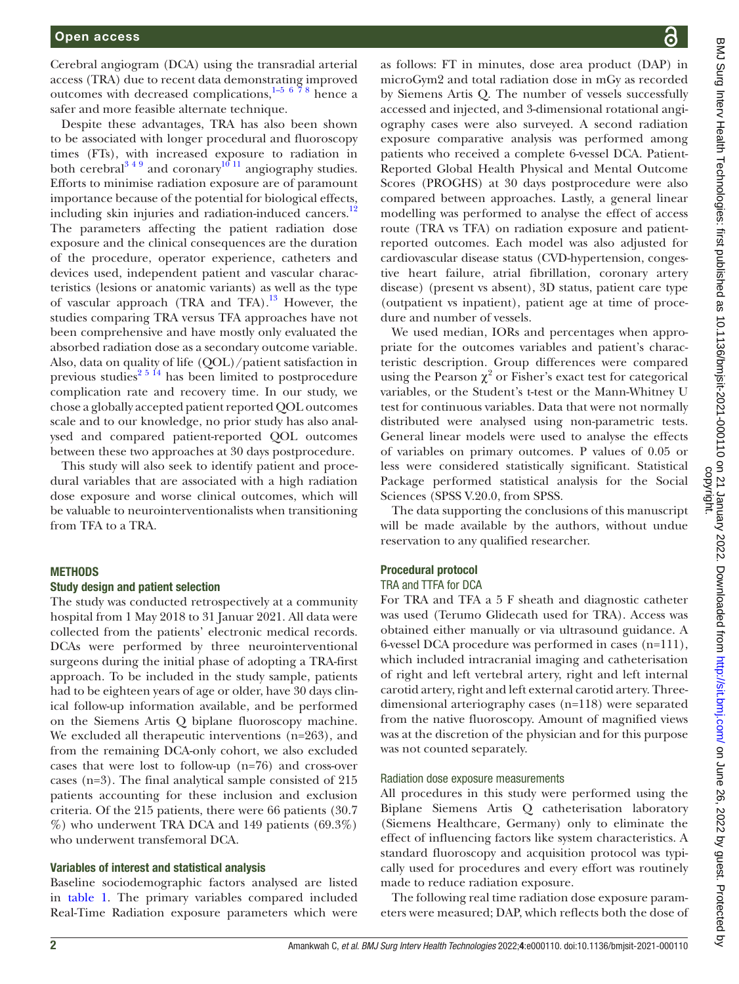Cerebral angiogram (DCA) using the transradial arterial access (TRA) due to recent data demonstrating improved outcomes with decreased complications,<sup>1-5 [6](#page-6-1) 78</sup> hence a safer and more feasible alternate technique.

Despite these advantages, TRA has also been shown to be associated with longer procedural and fluoroscopy times (FTs), with increased exposure to radiation in both cerebral<sup>349</sup> and coronary<sup>10 11</sup> angiography studies. Efforts to minimise radiation exposure are of paramount importance because of the potential for biological effects, including skin injuries and radiation-induced cancers. $12$ The parameters affecting the patient radiation dose exposure and the clinical consequences are the duration of the procedure, operator experience, catheters and devices used, independent patient and vascular characteristics (lesions or anatomic variants) as well as the type of vascular approach (TRA and TFA).<sup>13</sup> However, the studies comparing TRA versus TFA approaches have not been comprehensive and have mostly only evaluated the absorbed radiation dose as a secondary outcome variable. Also, data on quality of life (QOL)/patient satisfaction in previous studies<sup>2 5 14</sup> has been limited to postprocedure complication rate and recovery time. In our study, we chose a globally accepted patient reported QOL outcomes scale and to our knowledge, no prior study has also analysed and compared patient-reported QOL outcomes between these two approaches at 30 days postprocedure.

This study will also seek to identify patient and procedural variables that are associated with a high radiation dose exposure and worse clinical outcomes, which will be valuable to neurointerventionalists when transitioning from TFA to a TRA.

## **METHODS**

## Study design and patient selection

The study was conducted retrospectively at a community hospital from 1 May 2018 to 31 Januar 2021. All data were collected from the patients' electronic medical records. DCAs were performed by three neurointerventional surgeons during the initial phase of adopting a TRA-first approach. To be included in the study sample, patients had to be eighteen years of age or older, have 30 days clinical follow-up information available, and be performed on the Siemens Artis Q biplane fluoroscopy machine. We excluded all therapeutic interventions (n=263), and from the remaining DCA-only cohort, we also excluded cases that were lost to follow-up (n=76) and cross-over cases (n=3). The final analytical sample consisted of 215 patients accounting for these inclusion and exclusion criteria. Of the 215 patients, there were 66 patients (30.7 %) who underwent TRA DCA and 149 patients (69.3%) who underwent transfemoral DCA.

## Variables of interest and statistical analysis

Baseline sociodemographic factors analysed are listed in [table](#page-2-0) 1. The primary variables compared included Real-Time Radiation exposure parameters which were

as follows: FT in minutes, dose area product (DAP) in microGym2 and total radiation dose in mGy as recorded by Siemens Artis Q. The number of vessels successfully accessed and injected, and 3-dimensional rotational angiography cases were also surveyed. A second radiation exposure comparative analysis was performed among patients who received a complete 6-vessel DCA. Patient-Reported Global Health Physical and Mental Outcome Scores (PROGHS) at 30 days postprocedure were also compared between approaches. Lastly, a general linear modelling was performed to analyse the effect of access route (TRA vs TFA) on radiation exposure and patientreported outcomes. Each model was also adjusted for cardiovascular disease status (CVD-hypertension, congestive heart failure, atrial fibrillation, coronary artery disease) (present vs absent), 3D status, patient care type (outpatient vs inpatient), patient age at time of procedure and number of vessels.

We used median, IORs and percentages when appropriate for the outcomes variables and patient's characteristic description. Group differences were compared using the Pearson  $\chi^2$  or Fisher's exact test for categorical variables, or the Student's t-test or the Mann-Whitney U test for continuous variables. Data that were not normally distributed were analysed using non-parametric tests. General linear models were used to analyse the effects of variables on primary outcomes. P values of 0.05 or less were considered statistically significant. Statistical Package performed statistical analysis for the Social Sciences (SPSS V.20.0, from SPSS.

The data supporting the conclusions of this manuscript will be made available by the authors, without undue reservation to any qualified researcher.

# Procedural protocol

# TRA and TTFA for DCA

For TRA and TFA a 5 F sheath and diagnostic catheter was used (Terumo Glidecath used for TRA). Access was obtained either manually or via ultrasound guidance. A 6-vessel DCA procedure was performed in cases (n=111), which included intracranial imaging and catheterisation of right and left vertebral artery, right and left internal carotid artery, right and left external carotid artery. Threedimensional arteriography cases (n=118) were separated from the native fluoroscopy. Amount of magnified views was at the discretion of the physician and for this purpose was not counted separately.

## Radiation dose exposure measurements

All procedures in this study were performed using the Biplane Siemens Artis Q catheterisation laboratory (Siemens Healthcare, Germany) only to eliminate the effect of influencing factors like system characteristics. A standard fluoroscopy and acquisition protocol was typically used for procedures and every effort was routinely made to reduce radiation exposure.

The following real time radiation dose exposure parameters were measured; DAP, which reflects both the dose of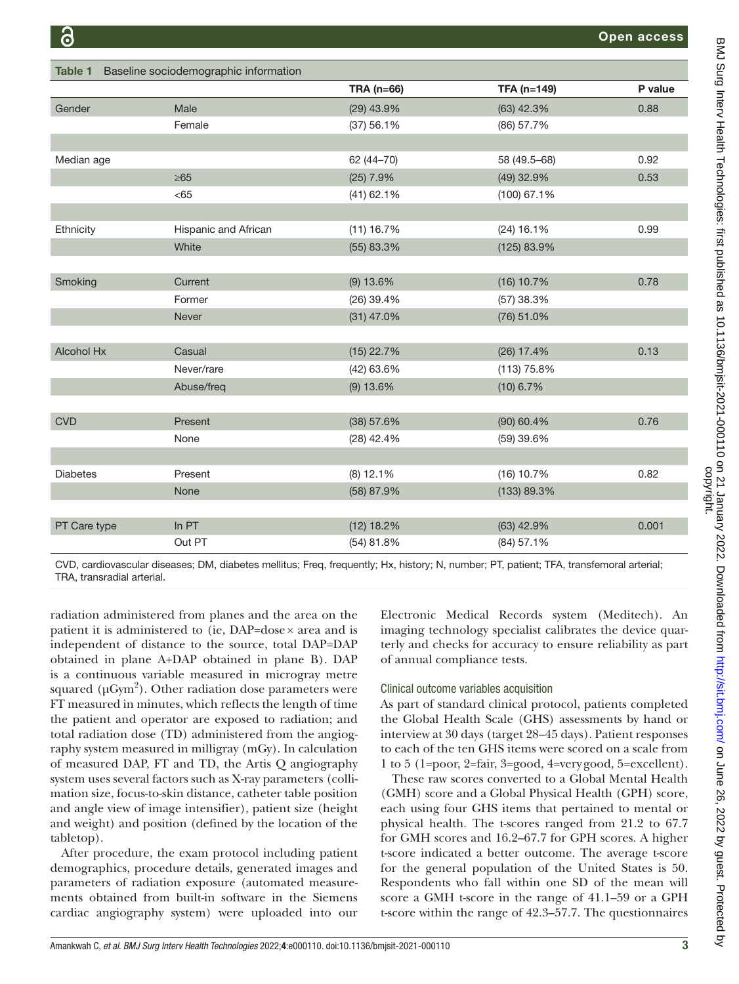<span id="page-2-0"></span>

| Baseline sociodemographic information<br><b>Table 1</b> |                      |              |               |         |  |  |
|---------------------------------------------------------|----------------------|--------------|---------------|---------|--|--|
|                                                         |                      | TRA (n=66)   | TFA (n=149)   | P value |  |  |
| Gender                                                  | Male                 | (29) 43.9%   | $(63)$ 42.3%  | 0.88    |  |  |
|                                                         | Female               | (37) 56.1%   | (86) 57.7%    |         |  |  |
|                                                         |                      |              |               |         |  |  |
| Median age                                              |                      | 62 (44-70)   | 58 (49.5-68)  | 0.92    |  |  |
|                                                         | $\geq 65$            | $(25)$ 7.9%  | (49) 32.9%    | 0.53    |  |  |
|                                                         | < 65                 | $(41)$ 62.1% | $(100)$ 67.1% |         |  |  |
|                                                         |                      |              |               |         |  |  |
| Ethnicity                                               | Hispanic and African | (11) 16.7%   | $(24)$ 16.1%  | 0.99    |  |  |
|                                                         | White                | (55) 83.3%   | (125) 83.9%   |         |  |  |
|                                                         |                      |              |               |         |  |  |
| Smoking                                                 | Current              | $(9)$ 13.6%  | $(16)$ 10.7%  | 0.78    |  |  |
|                                                         | Former               | $(26)$ 39.4% | $(57)$ 38.3%  |         |  |  |
|                                                         | Never                | $(31)$ 47.0% | $(76)$ 51.0%  |         |  |  |
|                                                         |                      |              |               |         |  |  |
| <b>Alcohol Hx</b>                                       | Casual               | $(15)$ 22.7% | $(26)$ 17.4%  | 0.13    |  |  |
|                                                         | Never/rare           | (42) 63.6%   | (113) 75.8%   |         |  |  |
|                                                         | Abuse/freq           | $(9)$ 13.6%  | $(10)$ 6.7%   |         |  |  |
|                                                         |                      |              |               |         |  |  |
| <b>CVD</b>                                              | Present              | (38) 57.6%   | $(90)$ 60.4%  | 0.76    |  |  |
|                                                         | None                 | $(28)$ 42.4% | (59) 39.6%    |         |  |  |
|                                                         |                      |              |               |         |  |  |
| <b>Diabetes</b>                                         | Present              | $(8)$ 12.1%  | (16) 10.7%    | 0.82    |  |  |
|                                                         | None                 | (58) 87.9%   | (133) 89.3%   |         |  |  |
|                                                         |                      |              |               |         |  |  |
| PT Care type                                            | In PT                | $(12)$ 18.2% | $(63)$ 42.9%  | 0.001   |  |  |
|                                                         | Out PT               | (54) 81.8%   | (84) 57.1%    |         |  |  |

CVD, cardiovascular diseases; DM, diabetes mellitus; Freq, frequently; Hx, history; N, number; PT, patient; TFA, transfemoral arterial; TRA, transradial arterial.

radiation administered from planes and the area on the patient it is administered to (ie, DAP=dose× area and is independent of distance to the source, total DAP=DAP obtained in plane A+DAP obtained in plane B). DAP is a continuous variable measured in microgray metre squared ( $\mu$ Gym<sup>2</sup>). Other radiation dose parameters were FT measured in minutes, which reflects the length of time the patient and operator are exposed to radiation; and total radiation dose (TD) administered from the angiography system measured in milligray (mGy). In calculation of measured DAP, FT and TD, the Artis Q angiography system uses several factors such as X-ray parameters (collimation size, focus-to-skin distance, catheter table position and angle view of image intensifier), patient size (height and weight) and position (defined by the location of the tabletop).

After procedure, the exam protocol including patient demographics, procedure details, generated images and parameters of radiation exposure (automated measurements obtained from built-in software in the Siemens cardiac angiography system) were uploaded into our

Electronic Medical Records system (Meditech). An imaging technology specialist calibrates the device quarterly and checks for accuracy to ensure reliability as part of annual compliance tests.

## Clinical outcome variables acquisition

As part of standard clinical protocol, patients completed the Global Health Scale (GHS) assessments by hand or interview at 30 days (target 28–45 days). Patient responses to each of the ten GHS items were scored on a scale from 1 to 5 (1=poor, 2=fair, 3=good, 4=verygood, 5=excellent).

These raw scores converted to a Global Mental Health (GMH) score and a Global Physical Health (GPH) score, each using four GHS items that pertained to mental or physical health. The t-scores ranged from 21.2 to 67.7 for GMH scores and 16.2–67.7 for GPH scores. A higher t-score indicated a better outcome. The average t-score for the general population of the United States is 50. Respondents who fall within one SD of the mean will score a GMH t-score in the range of 41.1–59 or a GPH t-score within the range of 42.3–57.7. The questionnaires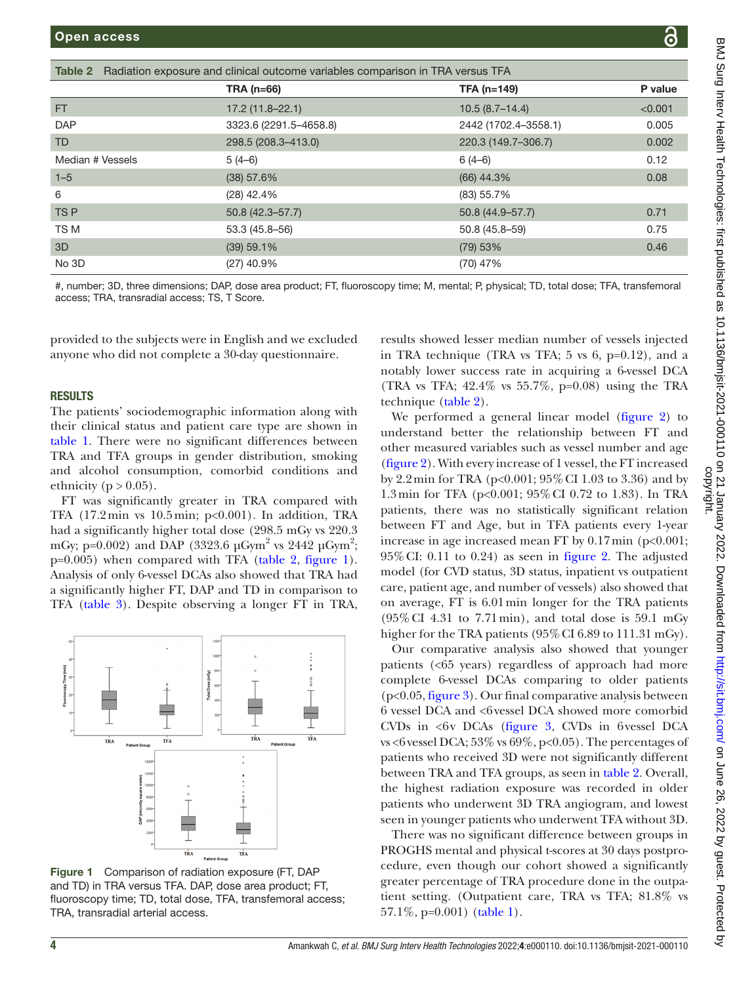<span id="page-3-0"></span>

| Open access                                                                            |                        |                      | 6       |  |  |
|----------------------------------------------------------------------------------------|------------------------|----------------------|---------|--|--|
|                                                                                        |                        |                      |         |  |  |
| Table 2 Radiation exposure and clinical outcome variables comparison in TRA versus TFA |                        |                      |         |  |  |
|                                                                                        | <b>TRA (n=66)</b>      | TFA (n=149)          | P value |  |  |
| FT.                                                                                    | $17.2(11.8 - 22.1)$    | $10.5(8.7 - 14.4)$   | < 0.001 |  |  |
| <b>DAP</b>                                                                             | 3323.6 (2291.5-4658.8) | 2442 (1702.4-3558.1) | 0.005   |  |  |
| <b>TD</b>                                                                              | 298.5 (208.3-413.0)    | 220.3 (149.7-306.7)  | 0.002   |  |  |
| Median # Vessels                                                                       | $5(4-6)$               | $6(4-6)$             | 0.12    |  |  |
| $1 - 5$                                                                                | (38) 57.6%             | $(66)$ 44.3%         | 0.08    |  |  |
| 6                                                                                      | $(28)$ 42.4%           | $(83)$ 55.7%         |         |  |  |

#, number; 3D, three dimensions; DAP, dose area product; FT, fluoroscopy time; M, mental; P, physical; TD, total dose; TFA, transfemoral access; TRA, transradial access; TS, T Score.

TS P 50.8 (42.3–57.7) 50.8 (42.3–57.7) 50.8 (44.9–57.7) 50.8 (44.9–57.7) TS M 53.3 (45.8–56) 50.8 (45.8–59) 0.75 3D (39) 59.1% (79) 53% 0.46

No 3D (27) 40.9% (70) 47%

provided to the subjects were in English and we excluded anyone who did not complete a 30-day questionnaire.

#### RESULTS

The patients' sociodemographic information along with their clinical status and patient care type are shown in [table](#page-2-0) 1. There were no significant differences between TRA and TFA groups in gender distribution, smoking and alcohol consumption, comorbid conditions and ethnicity ( $p > 0.05$ ).

FT was significantly greater in TRA compared with TFA (17.2min vs 10.5min; p<0.001). In addition, TRA had a significantly higher total dose (298.5 mGy vs 220.3 mGy; p=0.002) and DAP (3323.6  $\mu$ Gym<sup>2</sup> vs 2442  $\mu$ Gym<sup>2</sup>; p=0.005) when compared with TFA ([table](#page-3-0) 2, [figure](#page-3-1) 1). Analysis of only 6-vessel DCAs also showed that TRA had a significantly higher FT, DAP and TD in comparison to TFA ([table](#page-4-0) 3). Despite observing a longer FT in TRA,



<span id="page-3-1"></span>Figure 1 Comparison of radiation exposure (FT, DAP and TD) in TRA versus TFA. DAP, dose area product; FT, fluoroscopy time; TD, total dose, TFA, transfemoral access; TRA, transradial arterial access.

results showed lesser median number of vessels injected in TRA technique (TRA vs TFA; 5 vs 6, p=0.12), and a notably lower success rate in acquiring a 6-vessel DCA (TRA vs TFA;  $42.4\%$  vs  $55.7\%$ , p=0.08) using the TRA technique ([table](#page-3-0) 2).

We performed a general linear model ([figure](#page-4-1) 2) to understand better the relationship between FT and other measured variables such as vessel number and age [\(figure](#page-4-1) 2). With every increase of 1 vessel, the FT increased by 2.2min for TRA (p<0.001; 95%CI 1.03 to 3.36) and by 1.3min for TFA (p<0.001; 95%CI 0.72 to 1.83). In TRA patients, there was no statistically significant relation between FT and Age, but in TFA patients every 1-year increase in age increased mean FT by  $0.17 \text{min}$  (p<0.001; 95%CI: 0.11 to 0.24) as seen in [figure](#page-4-1) 2. The adjusted model (for CVD status, 3D status, inpatient vs outpatient care, patient age, and number of vessels) also showed that on average, FT is 6.01min longer for the TRA patients (95%CI 4.31 to 7.71min), and total dose is 59.1 mGy higher for the TRA patients (95% CI 6.89 to 111.31 mGy).

Our comparative analysis also showed that younger patients (<65 years) regardless of approach had more complete 6-vessel DCAs comparing to older patients (p<0.05, [figure](#page-4-2) 3). Our final comparative analysis between 6 vessel DCA and <6vessel DCA showed more comorbid CVDs in <6v DCAs ([figure](#page-4-2) 3, CVDs in 6vessel DCA vs <6 vessel DCA;  $53\%$  vs  $69\%$ ,  $p<0.05$ ). The percentages of patients who received 3D were not significantly different between TRA and TFA groups, as seen in [table](#page-3-0) 2. Overall, the highest radiation exposure was recorded in older patients who underwent 3D TRA angiogram, and lowest seen in younger patients who underwent TFA without 3D.

There was no significant difference between groups in PROGHS mental and physical t-scores at 30 days postprocedure, even though our cohort showed a significantly greater percentage of TRA procedure done in the outpatient setting. (Outpatient care, TRA vs TFA; 81.8% vs 57.1%, p=0.001) [\(table](#page-2-0) 1).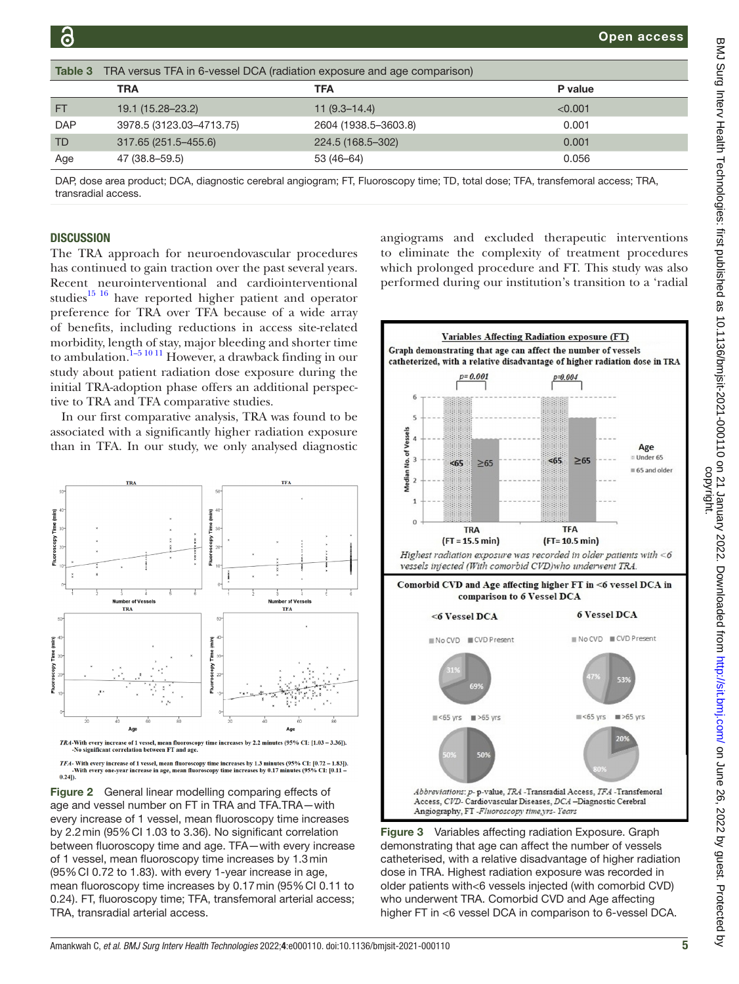<span id="page-4-0"></span>

| Table 3    | TRA versus TFA in 6-vessel DCA (radiation exposure and age comparison) |                      |         |  |  |
|------------|------------------------------------------------------------------------|----------------------|---------|--|--|
|            | <b>TRA</b>                                                             | TFA                  | P value |  |  |
| <b>FT</b>  | 19.1 (15.28–23.2)                                                      | $11(9.3-14.4)$       | < 0.001 |  |  |
| <b>DAP</b> | 3978.5 (3123.03-4713.75)                                               | 2604 (1938.5-3603.8) | 0.001   |  |  |
| TD         | 317.65 (251.5-455.6)                                                   | 224.5 (168.5–302)    | 0.001   |  |  |
| Age        | 47 (38.8–59.5)                                                         | 53 (46-64)           | 0.056   |  |  |

DAP, dose area product; DCA, diagnostic cerebral angiogram; FT, Fluoroscopy time; TD, total dose; TFA, transfemoral access; TRA, transradial access.

#### **DISCUSSION**

The TRA approach for neuroendovascular procedures has continued to gain traction over the past several years. Recent neurointerventional and cardiointerventional studies $^{15}$ <sup>16</sup> have reported higher patient and operator preference for TRA over TFA because of a wide array of benefits, including reductions in access site-related morbidity, length of stay, major bleeding and shorter time to ambulation.<sup>1-5 10 11</sup> However, a drawback finding in our study about patient radiation dose exposure during the initial TRA-adoption phase offers an additional perspective to TRA and TFA comparative studies.

In our first comparative analysis, TRA was found to be associated with a significantly higher radiation exposure than in TFA. In our study, we only analysed diagnostic



No significant correlation between FT and age

<span id="page-4-1"></span>*TFA*- With every increase of 1 vessel, mean fluoroscopy time increases by 1.3 minutes (95% CI: [0.72 – 1.83]).<br>-With every one-year increase in age, mean fluoroscopy time increases by 0.17 minutes (95% CI: [0.11 –  $0.241$ 

Figure 2 General linear modelling comparing effects of age and vessel number on FT in TRA and TFA.TRA—with every increase of 1 vessel, mean fluoroscopy time increases by 2.2min (95%CI 1.03 to 3.36). No significant correlation between fluoroscopy time and age. TFA—with every increase of 1 vessel, mean fluoroscopy time increases by 1.3min (95%CI 0.72 to 1.83). with every 1-year increase in age, mean fluoroscopy time increases by 0.17min (95%CI 0.11 to 0.24). FT, fluoroscopy time; TFA, transfemoral arterial access; TRA, transradial arterial access.

angiograms and excluded therapeutic interventions to eliminate the complexity of treatment procedures which prolonged procedure and FT. This study was also performed during our institution's transition to a 'radial



<span id="page-4-2"></span>Figure 3 Variables affecting radiation Exposure. Graph demonstrating that age can affect the number of vessels catheterised, with a relative disadvantage of higher radiation dose in TRA. Highest radiation exposure was recorded in older patients with<6 vessels injected (with comorbid CVD) who underwent TRA. Comorbid CVD and Age affecting higher FT in <6 vessel DCA in comparison to 6-vessel DCA.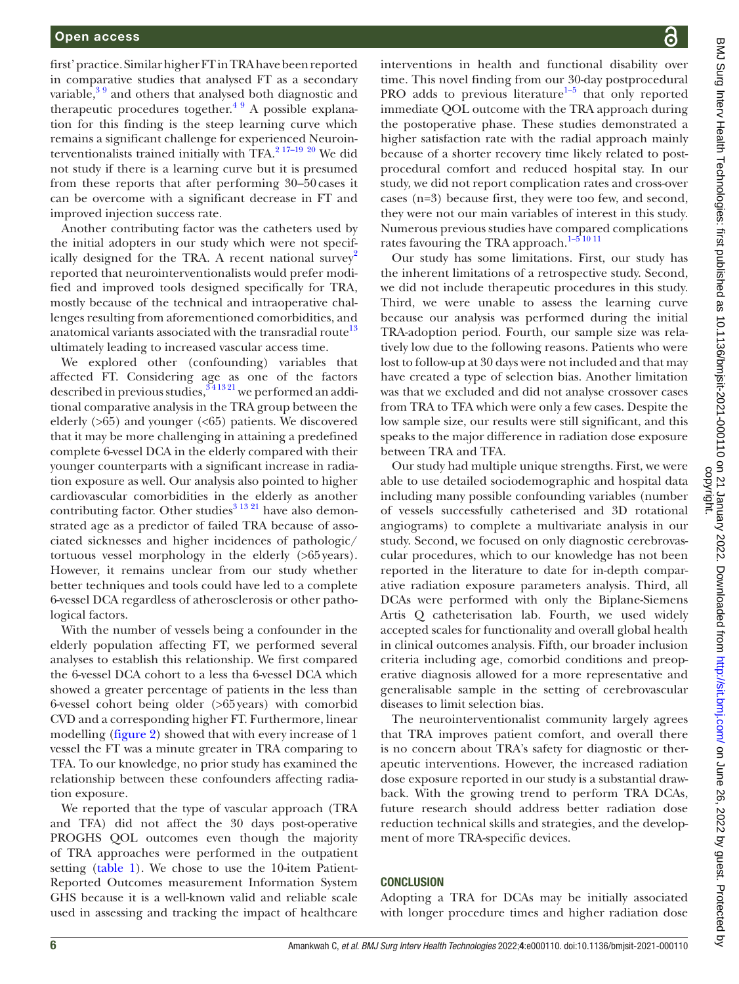first' practice. Similar higher FT in TRA have been reported in comparative studies that analysed FT as a secondary variable, $39$  and others that analysed both diagnostic and therapeutic procedures together.<sup>4 9</sup> A possible explanation for this finding is the steep learning curve which remains a significant challenge for experienced Neuroin-terventionalists trained initially with TFA.<sup>2 17-19</sup> <sup>[20](#page-6-10)</sup> We did not study if there is a learning curve but it is presumed from these reports that after performing 30–50cases it can be overcome with a significant decrease in FT and improved injection success rate.

Another contributing factor was the catheters used by the initial adopters in our study which were not specif-ically designed for the TRA. A recent national survey<sup>[2](#page-6-7)</sup> reported that neurointerventionalists would prefer modified and improved tools designed specifically for TRA, mostly because of the technical and intraoperative challenges resulting from aforementioned comorbidities, and anatomical variants associated with the transradial route<sup>13</sup> ultimately leading to increased vascular access time.

We explored other (confounding) variables that affected FT. Considering age as one of the factors described in previous studies,  $341321$  we performed an additional comparative analysis in the TRA group between the elderly (>65) and younger (<65) patients. We discovered that it may be more challenging in attaining a predefined complete 6-vessel DCA in the elderly compared with their younger counterparts with a significant increase in radiation exposure as well. Our analysis also pointed to higher cardiovascular comorbidities in the elderly as another contributing factor. Other studies<sup>[3 13 21](#page-6-3)</sup> have also demonstrated age as a predictor of failed TRA because of associated sicknesses and higher incidences of pathologic/ tortuous vessel morphology in the elderly (>65years). However, it remains unclear from our study whether better techniques and tools could have led to a complete 6-vessel DCA regardless of atherosclerosis or other pathological factors.

With the number of vessels being a confounder in the elderly population affecting FT, we performed several analyses to establish this relationship. We first compared the 6-vessel DCA cohort to a less tha 6-vessel DCA which showed a greater percentage of patients in the less than 6-vessel cohort being older (>65years) with comorbid CVD and a corresponding higher FT. Furthermore, linear modelling [\(figure](#page-4-1) 2) showed that with every increase of 1 vessel the FT was a minute greater in TRA comparing to TFA. To our knowledge, no prior study has examined the relationship between these confounders affecting radiation exposure.

We reported that the type of vascular approach (TRA and TFA) did not affect the 30 days post-operative PROGHS QOL outcomes even though the majority of TRA approaches were performed in the outpatient setting [\(table](#page-2-0) 1). We chose to use the 10-item Patient-Reported Outcomes measurement Information System GHS because it is a well-known valid and reliable scale used in assessing and tracking the impact of healthcare

interventions in health and functional disability over time. This novel finding from our 30-day postprocedural PRO adds to previous literature<sup>1–5</sup> that only reported immediate QOL outcome with the TRA approach during the postoperative phase. These studies demonstrated a higher satisfaction rate with the radial approach mainly because of a shorter recovery time likely related to postprocedural comfort and reduced hospital stay. In our study, we did not report complication rates and cross-over cases (n=3) because first, they were too few, and second, they were not our main variables of interest in this study. Numerous previous studies have compared complications rates favouring the TRA approach.<sup>1–5 10 11</sup>

Our study has some limitations. First, our study has the inherent limitations of a retrospective study. Second, we did not include therapeutic procedures in this study. Third, we were unable to assess the learning curve because our analysis was performed during the initial TRA-adoption period. Fourth, our sample size was relatively low due to the following reasons. Patients who were lost to follow-up at 30 days were not included and that may have created a type of selection bias. Another limitation was that we excluded and did not analyse crossover cases from TRA to TFA which were only a few cases. Despite the low sample size, our results were still significant, and this speaks to the major difference in radiation dose exposure between TRA and TFA.

Our study had multiple unique strengths. First, we were able to use detailed sociodemographic and hospital data including many possible confounding variables (number of vessels successfully catheterised and 3D rotational angiograms) to complete a multivariate analysis in our study. Second, we focused on only diagnostic cerebrovascular procedures, which to our knowledge has not been reported in the literature to date for in-depth comparative radiation exposure parameters analysis. Third, all DCAs were performed with only the Biplane-Siemens Artis Q catheterisation lab. Fourth, we used widely accepted scales for functionality and overall global health in clinical outcomes analysis. Fifth, our broader inclusion criteria including age, comorbid conditions and preoperative diagnosis allowed for a more representative and generalisable sample in the setting of cerebrovascular diseases to limit selection bias.

The neurointerventionalist community largely agrees that TRA improves patient comfort, and overall there is no concern about TRA's safety for diagnostic or therapeutic interventions. However, the increased radiation dose exposure reported in our study is a substantial drawback. With the growing trend to perform TRA DCAs, future research should address better radiation dose reduction technical skills and strategies, and the development of more TRA-specific devices.

# **CONCLUSION**

Adopting a TRA for DCAs may be initially associated with longer procedure times and higher radiation dose